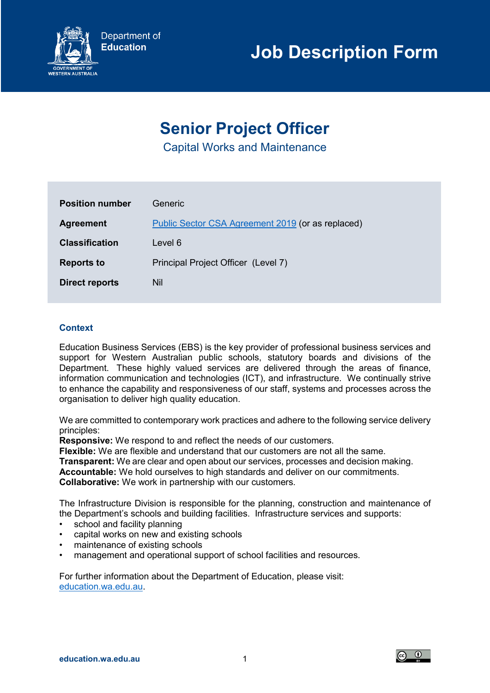

# **Senior Project Officer**

Capital Works and Maintenance

| <b>Position number</b> | Generic                                           |
|------------------------|---------------------------------------------------|
| <b>Agreement</b>       | Public Sector CSA Agreement 2019 (or as replaced) |
| <b>Classification</b>  | Level 6                                           |
| <b>Reports to</b>      | Principal Project Officer (Level 7)               |
| <b>Direct reports</b>  | Nil                                               |

## **Context**

Education Business Services (EBS) is the key provider of professional business services and support for Western Australian public schools, statutory boards and divisions of the Department. These highly valued services are delivered through the areas of finance, information communication and technologies (ICT), and infrastructure. We continually strive to enhance the capability and responsiveness of our staff, systems and processes across the organisation to deliver high quality education.

We are committed to contemporary work practices and adhere to the following service delivery principles:

**Responsive:** We respond to and reflect the needs of our customers.

**Flexible:** We are flexible and understand that our customers are not all the same.

**Transparent:** We are clear and open about our services, processes and decision making. **Accountable:** We hold ourselves to high standards and deliver on our commitments. **Collaborative:** We work in partnership with our customers.

The Infrastructure Division is responsible for the planning, construction and maintenance of the Department's schools and building facilities. Infrastructure services and supports:

- school and facility planning
- capital works on new and existing schools
- maintenance of existing schools
- management and operational support of school facilities and resources.

For further information about the Department of Education, please visit: [education.wa.edu.au.](https://www.education.wa.edu.au/)

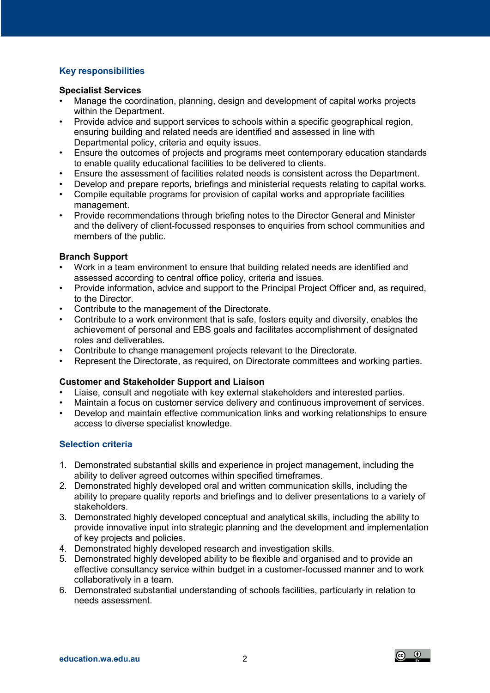## **Key responsibilities**

#### **Specialist Services**

- Manage the coordination, planning, design and development of capital works projects within the Department.
- Provide advice and support services to schools within a specific geographical region, ensuring building and related needs are identified and assessed in line with Departmental policy, criteria and equity issues.
- Ensure the outcomes of projects and programs meet contemporary education standards to enable quality educational facilities to be delivered to clients.
- Ensure the assessment of facilities related needs is consistent across the Department.
- Develop and prepare reports, briefings and ministerial requests relating to capital works. • Compile equitable programs for provision of capital works and appropriate facilities
- management.
- Provide recommendations through briefing notes to the Director General and Minister and the delivery of client-focussed responses to enquiries from school communities and members of the public.

## **Branch Support**

- Work in a team environment to ensure that building related needs are identified and assessed according to central office policy, criteria and issues.
- Provide information, advice and support to the Principal Project Officer and, as required, to the Director.
- Contribute to the management of the Directorate.
- Contribute to a work environment that is safe, fosters equity and diversity, enables the achievement of personal and EBS goals and facilitates accomplishment of designated roles and deliverables.
- Contribute to change management projects relevant to the Directorate.
- Represent the Directorate, as required, on Directorate committees and working parties.

## **Customer and Stakeholder Support and Liaison**

- Liaise, consult and negotiate with key external stakeholders and interested parties.
- Maintain a focus on customer service delivery and continuous improvement of services.
- Develop and maintain effective communication links and working relationships to ensure access to diverse specialist knowledge.

## **Selection criteria**

- 1. Demonstrated substantial skills and experience in project management, including the ability to deliver agreed outcomes within specified timeframes.
- 2. Demonstrated highly developed oral and written communication skills, including the ability to prepare quality reports and briefings and to deliver presentations to a variety of stakeholders.
- 3. Demonstrated highly developed conceptual and analytical skills, including the ability to provide innovative input into strategic planning and the development and implementation of key projects and policies.
- 4. Demonstrated highly developed research and investigation skills.
- 5. Demonstrated highly developed ability to be flexible and organised and to provide an effective consultancy service within budget in a customer-focussed manner and to work collaboratively in a team.
- 6. Demonstrated substantial understanding of schools facilities, particularly in relation to needs assessment.